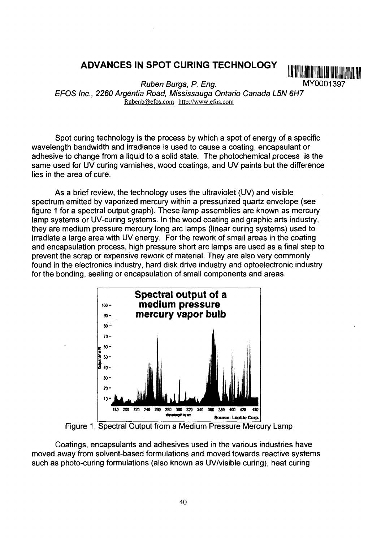# **ADVANCES IN SPOT CURING TECHNOLOGY**



Ruben Burga, P. Eng. MY0001397 EFOS Inc., 2260 Argentia Road, Mississauga Ontario Canada L5N 6H7 Rubenb@efos.com http://www.efos.com

Spot curing technology is the process by which a spot of energy of a specific wavelength bandwidth and irradiance is used to cause a coating, encapsulant or adhesive to change from a liquid to a solid state. The photochemical process is the same used for UV curing varnishes, wood coatings, and UV paints but the difference lies in the area of cure.

As a brief review, the technology uses the ultraviolet (UV) and visible spectrum emitted by vaporized mercury within a pressurized quartz envelope (see figure 1 for a spectral output graph). These lamp assemblies are known as mercury lamp systems or UV-curing systems. In the wood coating and graphic arts industry, they are medium pressure mercury long arc lamps (linear curing systems) used to irradiate a large area with UV energy. For the rework of small areas in the coating and encapsulation process, high pressure short arc lamps are used as a final step to prevent the scrap or expensive rework of material. They are also very commonly found in the electronics industry, hard disk drive industry and optoelectronic industry for the bonding, sealing or encapsulation of small components and areas.



Figure 1. Spectral Output from a Medium Pressure Mercury Lamp

Coatings, encapsulants and adhesives used in the various industries have moved away from solvent-based formulations and moved towards reactive systems such as photo-curing formulations (also known as UV/visible curing), heat curing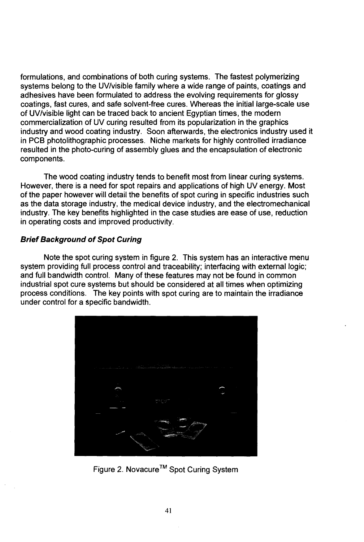formulations, and combinations of both curing systems. The fastest polymerizing systems belong to the UV/visible family where a wide range of paints, coatings and adhesives have been formulated to address the evolving requirements for glossy coatings, fast cures, and safe solvent-free cures. Whereas the initial large-scale use of UV/visible light can be traced back to ancient Egyptian times, the modern commercialization of UV curing resulted from its popularization in the graphics industry and wood coating industry. Soon afterwards, the electronics industry used it in PCB photolithographic processes. Niche markets for highly controlled irradiance resulted in the photo-curing of assembly glues and the encapsulation of electronic components.

The wood coating industry tends to benefit most from linear curing systems. However, there is a need for spot repairs and applications of high UV energy. Most of the paper however will detail the benefits of spot curing in specific industries such as the data storage industry, the medical device industry, and the electromechanical industry. The key benefits highlighted in the case studies are ease of use, reduction in operating costs and improved productivity.

# **Brief Background of Spot Curing**

Note the spot curing system in figure 2. This system has an interactive menu system providing full process control and traceability; interfacing with external logic; and full bandwidth control. Many of these features may not be found in common industrial spot cure systems but should be considered at all times when optimizing process conditions. The key points with spot curing are to maintain the irradiance under control for a specific bandwidth.



Figure 2. Novacure™ Spot Curing System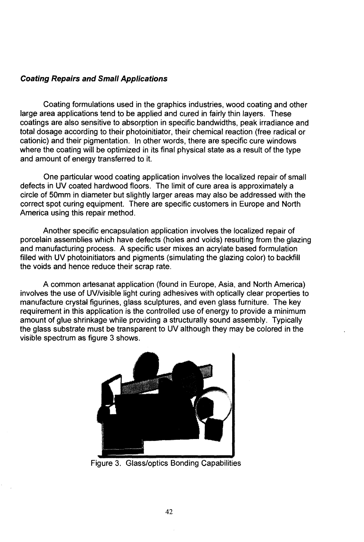## **Coating Repairs and Small Applications**

Coating formulations used in the graphics industries, wood coating and other large area applications tend to be applied and cured in fairly thin layers. These coatings are also sensitive to absorption in specific bandwidths, peak irradiance and total dosage according to their photoinitiator, their chemical reaction (free radical or cationic) and their pigmentation. In other words, there are specific cure windows where the coating will be optimized in its final physical state as a result of the type and amount of energy transferred to it.

One particular wood coating application involves the localized repair of small defects in UV coated hardwood floors. The limit of cure area is approximately a circle of 50mm in diameter but slightly larger areas may also be addressed with the correct spot curing equipment. There are specific customers in Europe and North America using this repair method.

Another specific encapsulation application involves the localized repair of porcelain assemblies which have defects (holes and voids) resulting from the glazing and manufacturing process. A specific user mixes an acrylate based formulation filled with UV photoinitiators and pigments (simulating the glazing color) to backfill the voids and hence reduce their scrap rate.

A common artesanat application (found in Europe, Asia, and North America) involves the use of UV/visible light curing adhesives with optically clear properties to manufacture crystal figurines, glass sculptures, and even glass furniture. The key requirement in this application is the controlled use of energy to provide a minimum amount of glue shrinkage while providing a structurally sound assembly. Typically the glass substrate must be transparent to UV although they may be colored in the visible spectrum as figure 3 shows.



Figure 3. Glass/optics Bonding Capabilities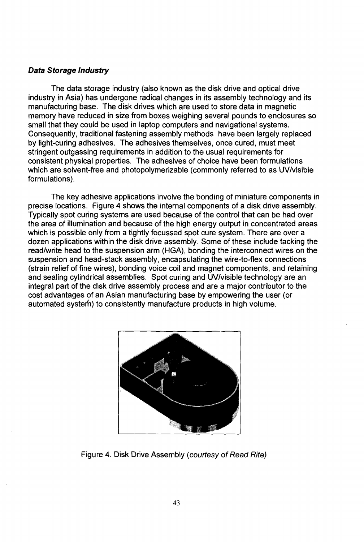#### **Data Storage Industry**

The data storage industry (also known as the disk drive and optical drive industry in Asia) has undergone radical changes in its assembly technology and its manufacturing base. The disk drives which are used to store data in magnetic memory have reduced in size from boxes weighing several pounds to enclosures so small that they could be used in laptop computers and navigational systems. Consequently, traditional fastening assembly methods have been largely replaced by light-curing adhesives. The adhesives themselves, once cured, must meet stringent outgassing requirements in addition to the usual requirements for consistent physical properties. The adhesives of choice have been formulations which are solvent-free and photopolymerizable (commonly referred to as UV/visible formulations).

The key adhesive applications involve the bonding of miniature components in precise locations. Figure 4 shows the internal components of a disk drive assembly. Typically spot curing systems are used because of the control that can be had over the area of illumination and because of the high energy output in concentrated areas which is possible only from a tightly focussed spot cure system. There are over a dozen applications within the disk drive assembly. Some of these include tacking the read/write head to the suspension arm (HGA), bonding the interconnect wires on the suspension and head-stack assembly, encapsulating the wire-to-flex connections (strain relief of fine wires), bonding voice coil and magnet components, and retaining and sealing cylindrical assemblies. Spot curing and UV/visible technology are an integral part of the disk drive assembly process and are a major contributor to the cost advantages of an Asian manufacturing base by empowering the user (or automated system) to consistently manufacture products in high volume.



Figure 4. Disk Drive Assembly {courtesy of Read Rite)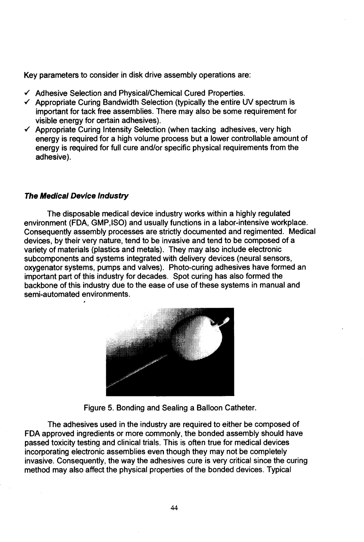Key parameters to consider in disk drive assembly operations are:

- $\checkmark$  Adhesive Selection and Physical/Chemical Cured Properties.
- $\checkmark$  Appropriate Curing Bandwidth Selection (typically the entire UV spectrum is important for tack free assemblies. There may also be some requirement for visible energy for certain adhesives).
- $\checkmark$  Appropriate Curing Intensity Selection (when tacking adhesives, very high energy is required for a high volume process but a lower controllable amount of energy is required for full cure and/or specific physical requirements from the adhesive).

#### **The Medical Device industry**

The disposable medical device industry works within a highly regulated environment (FDA, GMP.ISO) and usually functions in a labor-intensive workplace. Consequently assembly processes are strictly documented and regimented. Medical devices, by their very nature, tend to be invasive and tend to be composed of a variety of materials (plastics and metals). They may also include electronic subcomponents and systems integrated with delivery devices (neural sensors, oxygenator systems, pumps and valves). Photo-curing adhesives have formed an important part of this industry for decades. Spot curing has also formed the backbone of this industry due to the ease of use of these systems in manual and semi-automated environments.



Figure 5. Bonding and Sealing a Balloon Catheter.

The adhesives used in the industry are required to either be composed of FDA approved ingredients or more commonly, the bonded assembly should have passed toxicity testing and clinical trials. This is often true for medical devices incorporating electronic assemblies even though they may not be completely invasive. Consequently, the way the adhesives cure is very critical since the curing method may also affect the physical properties of the bonded devices. Typical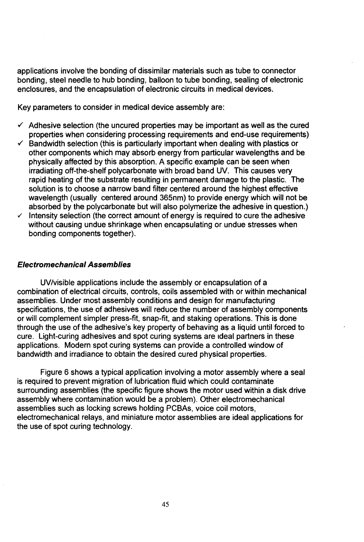applications involve the bonding of dissimilar materials such as tube to connector bonding, steel needle to hub bonding, balloon to tube bonding, sealing of electronic enclosures, and the encapsulation of electronic circuits in medical devices.

Key parameters to consider in medical device assembly are:

- $\checkmark$  Adhesive selection (the uncured properties may be important as well as the cured properties when considering processing requirements and end-use requirements)
- Bandwidth selection (this is particularly important when dealing with plastics or other components which may absorb energy from particular wavelengths and be physically affected by this absorption. A specific example can be seen when irradiating off-the-shelf polycarbonate with broad band UV. This causes very rapid heating of the substrate resulting in permanent damage to the plastic. The solution is to choose a narrow band filter centered around the highest effective wavelength (usually centered around 365nm) to provide energy which will not be absorbed by the polycarbonate but will also polymerize the adhesive in question.)
- $\checkmark$  Intensity selection (the correct amount of energy is required to cure the adhesive without causing undue shrinkage when encapsulating or undue stresses when bonding components together).

## Electromechanical Assemblies

UV/visible applications include the assembly or encapsulation of a combination of electrical circuits, controls, coils assembled with or within mechanical assemblies. Under most assembly conditions and design for manufacturing specifications, the use of adhesives will reduce the number of assembly components or will complement simpler press-fit, snap-fit, and staking operations. This is done through the use of the adhesive's key property of behaving as a liquid until forced to cure. Light-curing adhesives and spot curing systems are ideal partners in these applications. Modern spot curing systems can provide a controlled window of bandwidth and irradiance to obtain the desired cured physical properties.

Figure 6 shows a typical application involving a motor assembly where a seal is required to prevent migration of lubrication fluid which could contaminate surrounding assemblies (the specific figure shows the motor used within a disk drive assembly where contamination would be a problem). Other electromechanical assemblies such as locking screws holding PCBAs, voice coil motors, electromechanical relays, and miniature motor assemblies are ideal applications for the use of spot curing technology.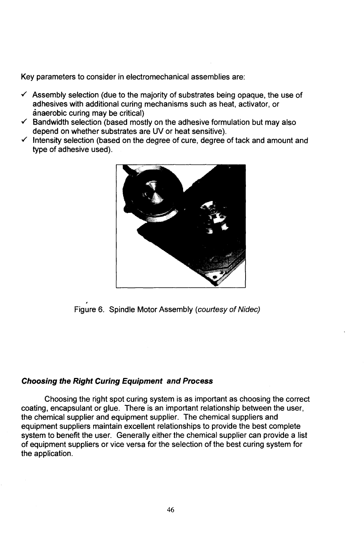Key parameters to consider in electromechanical assemblies are:

- $\checkmark$  Assembly selection (due to the majority of substrates being opaque, the use of adhesives with additional curing mechanisms such as heat, activator, or anaerobic curing may be critical)
- $\checkmark$  Bandwidth selection (based mostly on the adhesive formulation but may also depend on whether substrates are UV or heat sensitive).
- $\checkmark$  Intensity selection (based on the degree of cure, degree of tack and amount and type of adhesive used).



Figure 6. Spindle Motor Assembly (courtesy of Nidec)

# **Choosing the Right Curing Equipment and Process**

Choosing the right spot curing system is as important as choosing the correct coating, encapsulant or glue. There is an important relationship between the user, the chemical supplier and equipment supplier. The chemical suppliers and equipment suppliers maintain excellent relationships to provide the best complete system to benefit the user. Generally either the chemical supplier can provide a list of equipment suppliers or vice versa for the selection of the best curing system for the application.